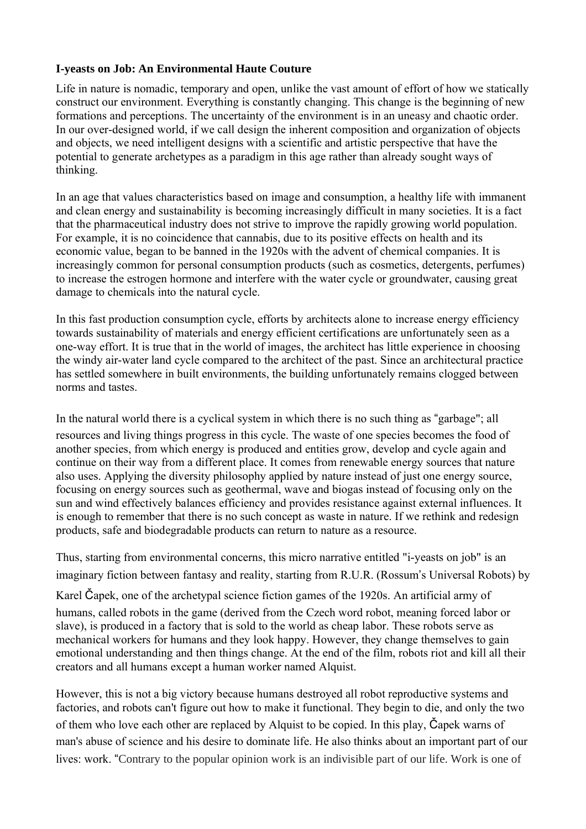## **I-yeasts on Job: An Environmental Haute Couture**

Life in nature is nomadic, temporary and open, unlike the vast amount of effort of how we statically construct our environment. Everything is constantly changing. This change is the beginning of new formations and perceptions. The uncertainty of the environment is in an uneasy and chaotic order. In our over-designed world, if we call design the inherent composition and organization of objects and objects, we need intelligent designs with a scientific and artistic perspective that have the potential to generate archetypes as a paradigm in this age rather than already sought ways of thinking.

In an age that values characteristics based on image and consumption, a healthy life with immanent and clean energy and sustainability is becoming increasingly difficult in many societies. It is a fact that the pharmaceutical industry does not strive to improve the rapidly growing world population. For example, it is no coincidence that cannabis, due to its positive effects on health and its economic value, began to be banned in the 1920s with the advent of chemical companies. It is increasingly common for personal consumption products (such as cosmetics, detergents, perfumes) to increase the estrogen hormone and interfere with the water cycle or groundwater, causing great damage to chemicals into the natural cycle.

In this fast production consumption cycle, efforts by architects alone to increase energy efficiency towards sustainability of materials and energy efficient certifications are unfortunately seen as a one-way effort. It is true that in the world of images, the architect has little experience in choosing the windy air-water land cycle compared to the architect of the past. Since an architectural practice has settled somewhere in built environments, the building unfortunately remains clogged between norms and tastes.

In the natural world there is a cyclical system in which there is no such thing as "garbage"; all resources and living things progress in this cycle. The waste of one species becomes the food of another species, from which energy is produced and entities grow, develop and cycle again and continue on their way from a different place. It comes from renewable energy sources that nature also uses. Applying the diversity philosophy applied by nature instead of just one energy source, focusing on energy sources such as geothermal, wave and biogas instead of focusing only on the sun and wind effectively balances efficiency and provides resistance against external influences. It is enough to remember that there is no such concept as waste in nature. If we rethink and redesign products, safe and biodegradable products can return to nature as a resource.

Thus, starting from environmental concerns, this micro narrative entitled "i-yeasts on job" is an imaginary fiction between fantasy and reality, starting from R.U.R. (Rossum's Universal Robots) by

Karel Čapek, one of the archetypal science fiction games of the 1920s. An artificial army of humans, called robots in the game (derived from the Czech word robot, meaning forced labor or slave), is produced in a factory that is sold to the world as cheap labor. These robots serve as mechanical workers for humans and they look happy. However, they change themselves to gain emotional understanding and then things change. At the end of the film, robots riot and kill all their creators and all humans except a human worker named Alquist.

However, this is not a big victory because humans destroyed all robot reproductive systems and factories, and robots can't figure out how to make it functional. They begin to die, and only the two of them who love each other are replaced by Alquist to be copied. In this play, Čapek warns of man's abuse of science and his desire to dominate life. He also thinks about an important part of our lives: work. "Contrary to the popular opinion work is an indivisible part of our life. Work is one of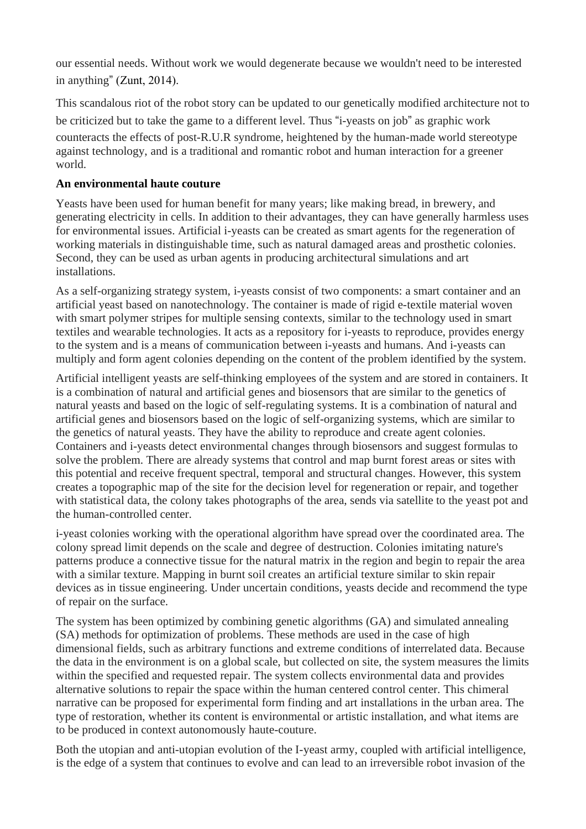our essential needs. Without work we would degenerate because we wouldn't need to be interested in anything" (Zunt, 2014).

This scandalous riot of the robot story can be updated to our genetically modified architecture not to be criticized but to take the game to a different level. Thus "i-yeasts on job" as graphic work counteracts the effects of post-R.U.R syndrome, heightened by the human-made world stereotype against technology, and is a traditional and romantic robot and human interaction for a greener world.

## **An environmental haute couture**

Yeasts have been used for human benefit for many years; like making bread, in brewery, and generating electricity in cells. In addition to their advantages, they can have generally harmless uses for environmental issues. Artificial i-yeasts can be created as smart agents for the regeneration of working materials in distinguishable time, such as natural damaged areas and prosthetic colonies. Second, they can be used as urban agents in producing architectural simulations and art installations.

As a self-organizing strategy system, i-yeasts consist of two components: a smart container and an artificial yeast based on nanotechnology. The container is made of rigid e-textile material woven with smart polymer stripes for multiple sensing contexts, similar to the technology used in smart textiles and wearable technologies. It acts as a repository for i-yeasts to reproduce, provides energy to the system and is a means of communication between i-yeasts and humans. And i-yeasts can multiply and form agent colonies depending on the content of the problem identified by the system.

Artificial intelligent yeasts are self-thinking employees of the system and are stored in containers. It is a combination of natural and artificial genes and biosensors that are similar to the genetics of natural yeasts and based on the logic of self-regulating systems. It is a combination of natural and artificial genes and biosensors based on the logic of self-organizing systems, which are similar to the genetics of natural yeasts. They have the ability to reproduce and create agent colonies. Containers and i-yeasts detect environmental changes through biosensors and suggest formulas to solve the problem. There are already systems that control and map burnt forest areas or sites with this potential and receive frequent spectral, temporal and structural changes. However, this system creates a topographic map of the site for the decision level for regeneration or repair, and together with statistical data, the colony takes photographs of the area, sends via satellite to the yeast pot and the human-controlled center.

i-yeast colonies working with the operational algorithm have spread over the coordinated area. The colony spread limit depends on the scale and degree of destruction. Colonies imitating nature's patterns produce a connective tissue for the natural matrix in the region and begin to repair the area with a similar texture. Mapping in burnt soil creates an artificial texture similar to skin repair devices as in tissue engineering. Under uncertain conditions, yeasts decide and recommend the type of repair on the surface.

The system has been optimized by combining genetic algorithms (GA) and simulated annealing (SA) methods for optimization of problems. These methods are used in the case of high dimensional fields, such as arbitrary functions and extreme conditions of interrelated data. Because the data in the environment is on a global scale, but collected on site, the system measures the limits within the specified and requested repair. The system collects environmental data and provides alternative solutions to repair the space within the human centered control center. This chimeral narrative can be proposed for experimental form finding and art installations in the urban area. The type of restoration, whether its content is environmental or artistic installation, and what items are to be produced in context autonomously haute-couture.

Both the utopian and anti-utopian evolution of the I-yeast army, coupled with artificial intelligence, is the edge of a system that continues to evolve and can lead to an irreversible robot invasion of the